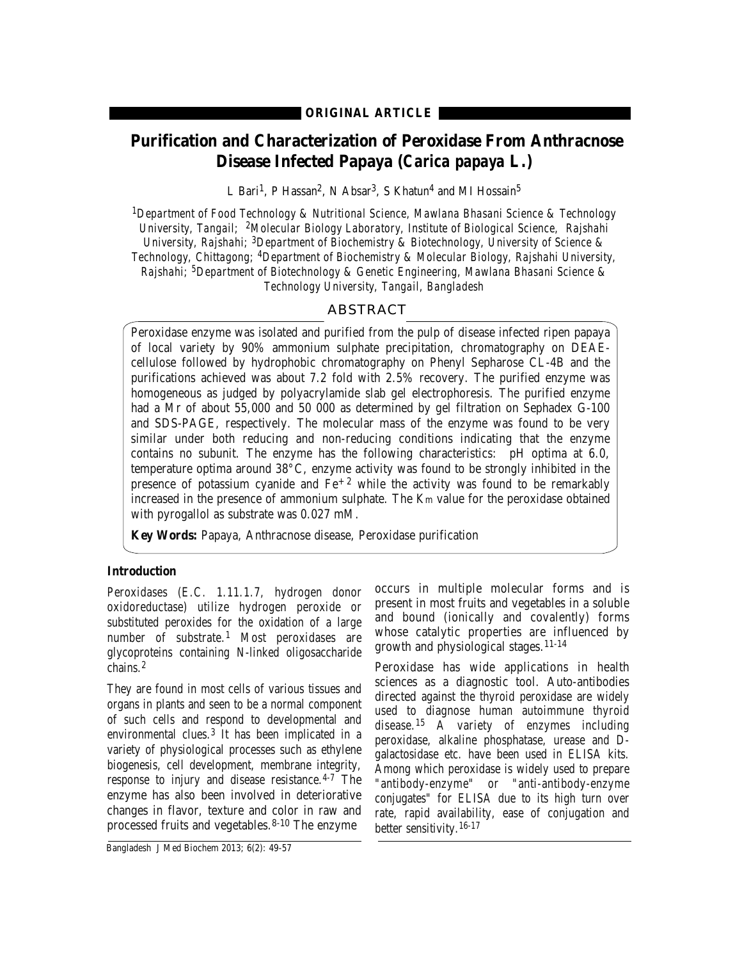# **Purification and Characterization of Peroxidase From Anthracnose Disease Infected Papaya (***Carica papaya* **L.)**

L Bari<sup>1</sup>, P Hassan<sup>2</sup>, N Absar<sup>3</sup>, S Khatun<sup>4</sup> and MI Hossain<sup>5</sup>

*1Department of Food Technology & Nutritional Science, Mawlana Bhasani Science & Technology University, Tangail; 2Molecular Biology Laboratory, Institute of Biological Science, Rajshahi University, Rajshahi; 3Department of Biochemistry & Biotechnology, University of Science & Technology, Chittagong; 4Department of Biochemistry & Molecular Biology, Rajshahi University, Rajshahi; 5Department of Biotechnology & Genetic Engineering, Mawlana Bhasani Science & Technology University, Tangail, Bangladesh*

# ABSTRACT

Peroxidase enzyme was isolated and purified from the pulp of disease infected ripen papaya of local variety by 90% ammonium sulphate precipitation, chromatography on DEAEcellulose followed by hydrophobic chromatography on Phenyl Sepharose CL-4B and the purifications achieved was about 7.2 fold with 2.5% recovery. The purified enzyme was homogeneous as judged by polyacrylamide slab gel electrophoresis. The purified enzyme had a Mr of about 55,000 and 50 000 as determined by gel filtration on Sephadex G-100 and SDS-PAGE, respectively. The molecular mass of the enzyme was found to be very similar under both reducing and non-reducing conditions indicating that the enzyme contains no subunit. The enzyme has the following characteristics: pH optima at 6.0, temperature optima around 38°C, enzyme activity was found to be strongly inhibited in the presence of potassium cyanide and  $Fe^{+2}$  while the activity was found to be remarkably increased in the presence of ammonium sulphate. The Km value for the peroxidase obtained with pyrogallol as substrate was 0.027 mM.

**Key Words:** Papaya, Anthracnose disease, Peroxidase purification

#### **Introduction**

Peroxidases (E.C. 1.11.1.7, hydrogen donor oxidoreductase) utilize hydrogen peroxide or substituted peroxides for the oxidation of a large number of substrate.<sup>1</sup> Most peroxidases are glycoproteins containing N-linked oligosaccharide chains.<sup>2</sup>

They are found in most cells of various tissues and organs in plants and seen to be a normal component of such cells and respond to developmental and environmental clues.<sup>3</sup> It has been implicated in a variety of physiological processes such as ethylene biogenesis, cell development, membrane integrity, response to injury and disease resistance.<sup>4-7</sup> The enzyme has also been involved in deteriorative changes in flavor, texture and color in raw and processed fruits and vegetables.8-10 The enzyme

occurs in multiple molecular forms and is present in most fruits and vegetables in a soluble and bound (ionically and covalently) forms whose catalytic properties are influenced by growth and physiological stages.11-14

Peroxidase has wide applications in health sciences as a diagnostic tool. Auto-antibodies directed against the thyroid peroxidase are widely used to diagnose human autoimmune thyroid disease.<sup>15</sup> A variety of enzymes including peroxidase, alkaline phosphatase, urease and Dgalactosidase etc. have been used in ELISA kits. Among which peroxidase is widely used to prepare "antibody-enzyme" or "anti-antibody-enzyme conjugates" for ELISA due to its high turn over rate, rapid availability, ease of conjugation and better sensitivity.<sup>16-17</sup>

Bangladesh J Med Biochem 2013; 6(2): 49-57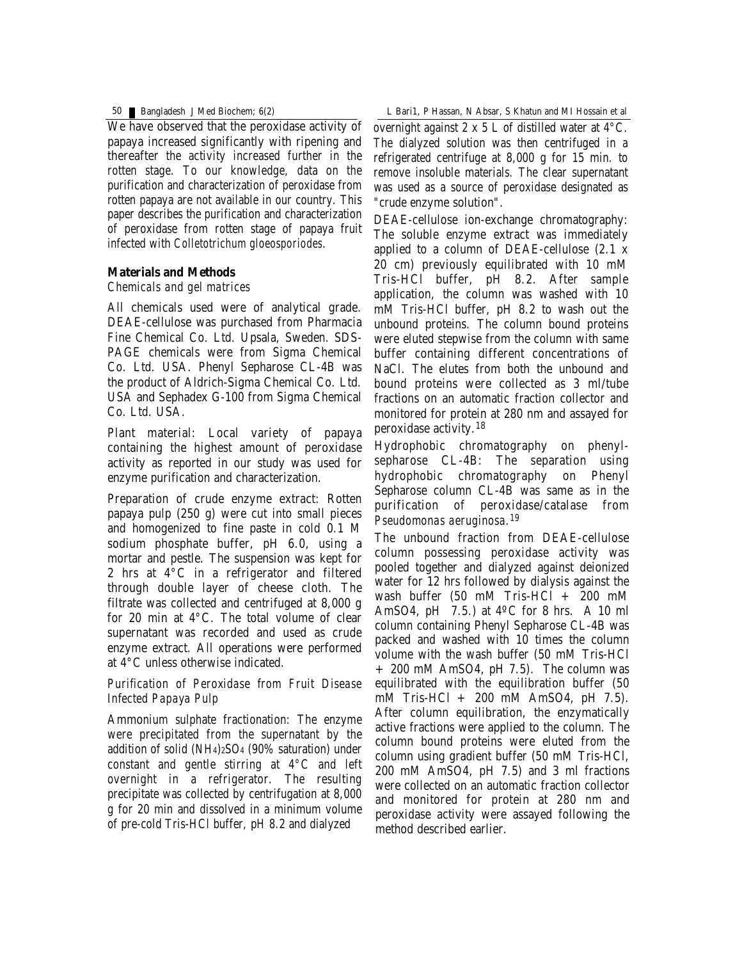We have observed that the peroxidase activity of papaya increased significantly with ripening and thereafter the activity increased further in the rotten stage. To our knowledge, data on the purification and characterization of peroxidase from rotten papaya are not available in our country. This paper describes the purification and characterization of peroxidase from rotten stage of papaya fruit infected with *Colletotrichum gloeosporiodes*.

### **Materials and Methods**

### *Chemicals and gel matrices*

All chemicals used were of analytical grade. DEAE-cellulose was purchased from Pharmacia Fine Chemical Co. Ltd. Upsala, Sweden. SDS-PAGE chemicals were from Sigma Chemical Co. Ltd. USA. Phenyl Sepharose CL-4B was the product of Aldrich-Sigma Chemical Co. Ltd. USA and Sephadex G-100 from Sigma Chemical Co. Ltd. USA.

Plant material: Local variety of papaya containing the highest amount of peroxidase activity as reported in our study was used for enzyme purification and characterization.

Preparation of crude enzyme extract: Rotten papaya pulp (250 g) were cut into small pieces and homogenized to fine paste in cold 0.1 M sodium phosphate buffer, pH 6.0, using a mortar and pestle. The suspension was kept for 2 hrs at 4°C in a refrigerator and filtered through double layer of cheese cloth. The filtrate was collected and centrifuged at 8,000 g for 20 min at 4°C. The total volume of clear supernatant was recorded and used as crude enzyme extract. All operations were performed at 4°C unless otherwise indicated.

*Purification of Peroxidase from Fruit Disease Infected Papaya Pulp*

Ammonium sulphate fractionation: The enzyme were precipitated from the supernatant by the addition of solid (NH4)2SO4 (90% saturation) under constant and gentle stirring at 4°C and left overnight in a refrigerator. The resulting precipitate was collected by centrifugation at 8,000 g for 20 min and dissolved in a minimum volume of pre-cold Tris-HCl buffer, pH 8.2 and dialyzed

50 Bangladesh J Med Biochem; 6(2) L Bari1, P Hassan, N Absar, S Khatun and MI Hossain et al

overnight against  $2 \times 5$  L of distilled water at  $4^{\circ}$ C. The dialyzed solution was then centrifuged in a refrigerated centrifuge at 8,000 g for 15 min. to remove insoluble materials. The clear supernatant was used as a source of peroxidase designated as "crude enzyme solution".

DEAE-cellulose ion-exchange chromatography: The soluble enzyme extract was immediately applied to a column of DEAE-cellulose (2.1 x 20 cm) previously equilibrated with 10 mM Tris-HCl buffer, pH 8.2. After sample application, the column was washed with 10 mM Tris-HCl buffer, pH 8.2 to wash out the unbound proteins. The column bound proteins were eluted stepwise from the column with same buffer containing different concentrations of NaCl. The elutes from both the unbound and bound proteins were collected as 3 ml/tube fractions on an automatic fraction collector and monitored for protein at 280 nm and assayed for peroxidase activity.<sup>18</sup>

Hydrophobic chromatography on phenylsepharose CL-4B: The separation using hydrophobic chromatography on Phenyl Sepharose column CL-4B was same as in the purification of peroxidase/catalase from *Pseudomonas aeruginosa.19*

The unbound fraction from DEAE-cellulose column possessing peroxidase activity was pooled together and dialyzed against deionized water for 12 hrs followed by dialysis against the wash buffer (50 mM Tris-HCl + 200 mM AmSO4, pH  $(7.5.)$  at 4<sup>o</sup>C for 8 hrs. A 10 ml column containing Phenyl Sepharose CL-4B was packed and washed with 10 times the column volume with the wash buffer (50 mM Tris-HCl + 200 mM AmSO4, pH 7.5). The column was equilibrated with the equilibration buffer (50 mM Tris-HCl + 200 mM AmSO4, pH 7.5). After column equilibration, the enzymatically active fractions were applied to the column. The column bound proteins were eluted from the column using gradient buffer (50 mM Tris-HCl, 200 mM AmSO4, pH 7.5) and 3 ml fractions were collected on an automatic fraction collector and monitored for protein at 280 nm and peroxidase activity were assayed following the method described earlier.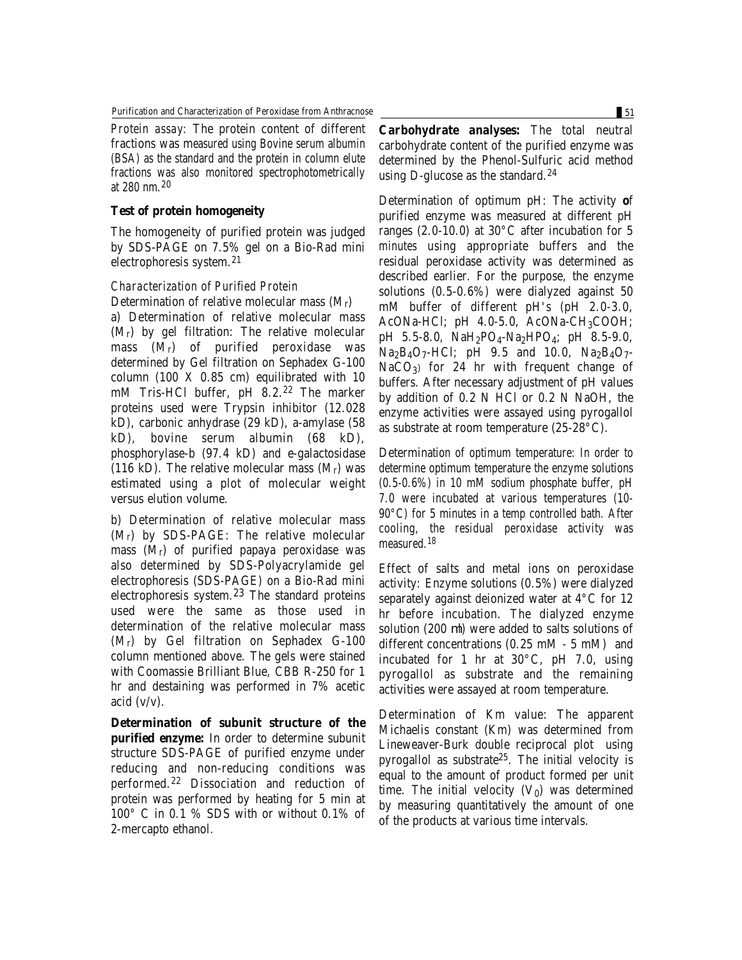*Protein assay:* The protein content of different fractions was measured using Bovine serum albumin (BSA) as the standard and the protein in column elute fractions was also monitored spectrophotometrically at 280 nm.20

#### **Test of protein homogeneity**

The homogeneity of purified protein was judged by SDS-PAGE on 7.5% gel on a Bio-Rad mini electrophoresis system.<sup>21</sup>

# *Characterization of Purified Protein*

Determination of relative molecular mass (Mr) a) Determination of relative molecular mass (Mr) by gel filtration: The relative molecular mass (Mr) of purified peroxidase was determined by Gel filtration on Sephadex G-100 column (100 X 0.85 cm) equilibrated with 10 mM Tris-HCl buffer, pH 8.2.<sup>22</sup> The marker proteins used were Trypsin inhibitor (12.028 kD), carbonic anhydrase (29 kD), a-amylase (58 kD), bovine serum albumin (68 kD), phosphorylase-b (97.4 kD) and e-galactosidase (116 kD). The relative molecular mass  $(M_r)$  was estimated using a plot of molecular weight versus elution volume.

b) Determination of relative molecular mass (Mr) by SDS-PAGE: The relative molecular mass  $(M_r)$  of purified papaya peroxidase was also determined by SDS-Polyacrylamide gel electrophoresis (SDS-PAGE) on a Bio-Rad mini electrophoresis system.23 The standard proteins used were the same as those used in determination of the relative molecular mass (Mr) by Gel filtration on Sephadex G-100 column mentioned above. The gels were stained with Coomassie Brilliant Blue, CBB R-250 for 1 hr and destaining was performed in 7% acetic acid  $(v/v)$ .

**Determination of subunit structure of the purified enzyme:** In order to determine subunit structure SDS-PAGE of purified enzyme under reducing and non-reducing conditions was performed.<sup>22</sup> Dissociation and reduction of protein was performed by heating for 5 min at 100° C in 0.1 % SDS with or without 0.1% of 2-mercapto ethanol.

**Carbohydrate analyses:** The total neutral carbohydrate content of the purified enzyme was determined by the Phenol-Sulfuric acid method using D-glucose as the standard.<sup>24</sup>

Determination of optimum pH: The activity **o**f purified enzyme was measured at different pH ranges (2.0-10.0) at 30°C after incubation for 5 minutes using appropriate buffers and the residual peroxidase activity was determined as described earlier. For the purpose, the enzyme solutions (0.5-0.6%) were dialyzed against 50 mM buffer of different pH's (pH 2.0-3.0, AcONa-HCl; pH  $4.0-5.0$ , AcONa-CH<sub>3</sub>COOH; pH 5.5-8.0,  $NaH<sub>2</sub>PO<sub>4</sub>-Na<sub>2</sub>HPO<sub>4</sub>; pH 8.5-9.0,$  $Na<sub>2</sub>B<sub>4</sub>O<sub>7</sub>$ -HCl; pH 9.5 and 10.0,  $Na<sub>2</sub>B<sub>4</sub>O<sub>7</sub>$ - $NaCO<sub>3</sub>$  for 24 hr with frequent change of buffers. After necessary adjustment of pH values by addition of 0.2 N HCl or 0.2 N NaOH, the enzyme activities were assayed using pyrogallol as substrate at room temperature (25-28°C).

Determination of optimum temperature: In order to determine optimum temperature the enzyme solutions (0.5-0.6%) in 10 mM sodium phosphate buffer, pH 7.0 were incubated at various temperatures (10- 90°C) for 5 minutes in a temp controlled bath. After cooling, the residual peroxidase activity was measured.<sup>18</sup>

Effect of salts and metal ions on peroxidase activity: Enzyme solutions (0.5%) were dialyzed separately against deionized water at 4°C for 12 hr before incubation. The dialyzed enzyme solution  $(200 \mu l)$  were added to salts solutions of different concentrations (0.25 mM - 5 mM) and incubated for 1 hr at 30°C, pH 7.0, using pyrogallol as substrate and the remaining activities were assayed at room temperature.

Determination of Km value: The apparent Michaelis constant (Km) was determined from Lineweaver-Burk double reciprocal plot using pyrogallol as substrate25. The initial velocity is equal to the amount of product formed per unit time. The initial velocity  $(V_0)$  was determined by measuring quantitatively the amount of one of the products at various time intervals.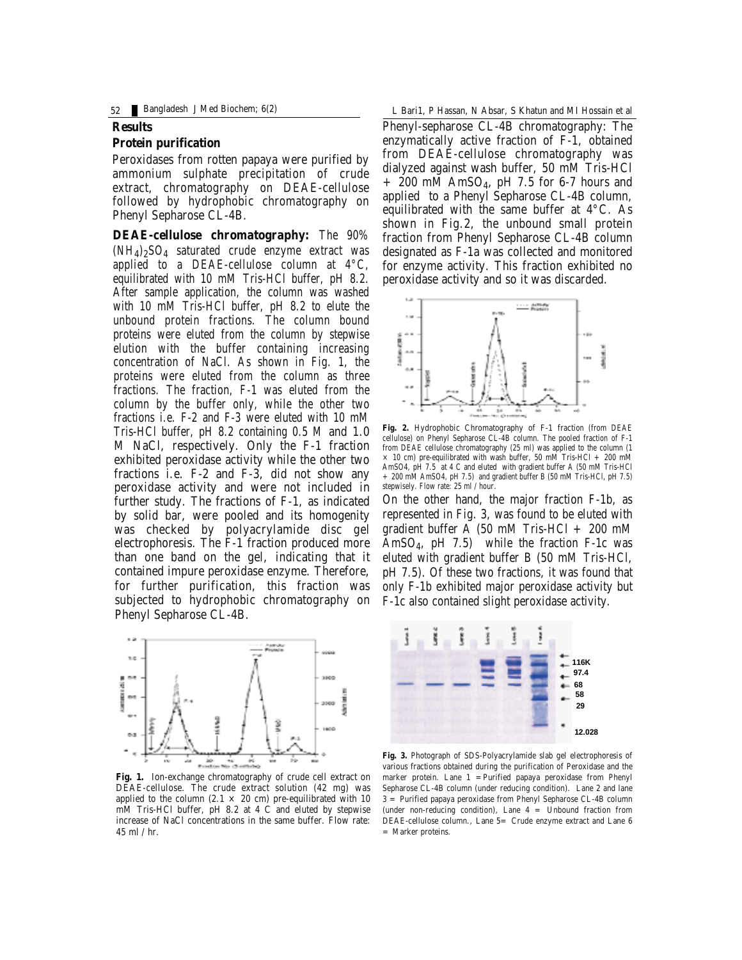52 Bangladesh J Med Biochem; 6(2) L Bari1, P Hassan, N Absar, S Khatun and MI Hossain et al

#### **Results**

#### **Protein purification**

Peroxidases from rotten papaya were purified by ammonium sulphate precipitation of crude extract, chromatography on DEAE-cellulose followed by hydrophobic chromatography on Phenyl Sepharose CL-4B.

**DEAE-cellulose chromatography:** The 90%  $(NH_4)_2SO_4$  saturated crude enzyme extract was applied to a DEAE-cellulose column at 4°C, equilibrated with 10 mM Tris-HCl buffer, pH 8.2. After sample application, the column was washed with 10 mM Tris-HCl buffer, pH 8.2 to elute the unbound protein fractions. The column bound proteins were eluted from the column by stepwise elution with the buffer containing increasing concentration of NaCl. As shown in Fig. 1, the proteins were eluted from the column as three fractions. The fraction, F-1 was eluted from the column by the buffer only, while the other two fractions i.e. F-2 and F-3 were eluted with 10 mM Tris-HCl buffer, pH 8.2 containing 0.5 M and 1.0 M NaCl, respectively. Only the F-1 fraction exhibited peroxidase activity while the other two fractions i.e. F-2 and F-3, did not show any peroxidase activity and were not included in further study. The fractions of F-1, as indicated by solid bar, were pooled and its homogenity was checked by polyacrylamide disc gel electrophoresis. The F-1 fraction produced more than one band on the gel, indicating that it contained impure peroxidase enzyme. Therefore, for further purification, this fraction was subjected to hydrophobic chromatography on Phenyl Sepharose CL-4B.



**Fig. 1.** Ion-exchange chromatography of crude cell extract on DEAE-cellulose. The crude extract solution (42 mg) was applied to the column (2.1  $\times$  20 cm) pre-equilibrated with 10 mM Tris-HCl buffer, pH 8.2 at 4 C and eluted by stepwise increase of NaCl concentrations in the same buffer. Flow rate: 45 ml / hr.

Phenyl-sepharose CL-4B chromatography: The enzymatically active fraction of F-1, obtained from DEAE-cellulose chromatography was dialyzed against wash buffer, 50 mM Tris-HCl  $+$  200 mM AmSO<sub>4</sub>, pH 7.5 for 6-7 hours and applied to a Phenyl Sepharose CL-4B column, equilibrated with the same buffer at 4°C. As shown in Fig.2, the unbound small protein fraction from Phenyl Sepharose CL-4B column designated as F-1a was collected and monitored for enzyme activity. This fraction exhibited no peroxidase activity and so it was discarded.



**Fig. 2.** Hydrophobic Chromatography of F-1 fraction (from DEAE cellulose) on Phenyl Sepharose CL-4B column. The pooled fraction of F-1 from DEAE cellulose chromatography (25 ml) was applied to the column (1  $\times$  10 cm) pre-equilibrated with wash buffer, 50 mM Tris-HCl + 200 mM AmSO4, pH 7.5 at 4 C and eluted with gradient buffer A (50 mM Tris-HCl + 200 mM AmSO4, pH 7.5) and gradient buffer B (50 mM Tris-HCl, pH 7.5) stepwisely. Flow rate: 25 ml / hour.

On the other hand, the major fraction F-1b, as represented in Fig. 3, was found to be eluted with gradient buffer  $\overline{A}$  (50 mM Tris-HCl + 200 mM Am $SO<sub>4</sub>$ , pH 7.5) while the fraction F-1c was eluted with gradient buffer B (50 mM Tris-HCl, pH 7.5). Of these two fractions, it was found that only F-1b exhibited major peroxidase activity but F-1c also contained slight peroxidase activity.



**Fig. 3.** Photograph of SDS-Polyacrylamide slab gel electrophoresis of various fractions obtained during the purification of Peroxidase and the marker protein. Lane  $1 =$  Purified papaya peroxidase from Phenyl Sepharose CL-4B column (under reducing condition). Lane 2 and lane 3 = Purified papaya peroxidase from Phenyl Sepharose CL-4B column (under non-reducing condition), Lane 4 = Unbound fraction from DEAE-cellulose column., Lane 5= Crude enzyme extract and Lane 6 = Marker proteins.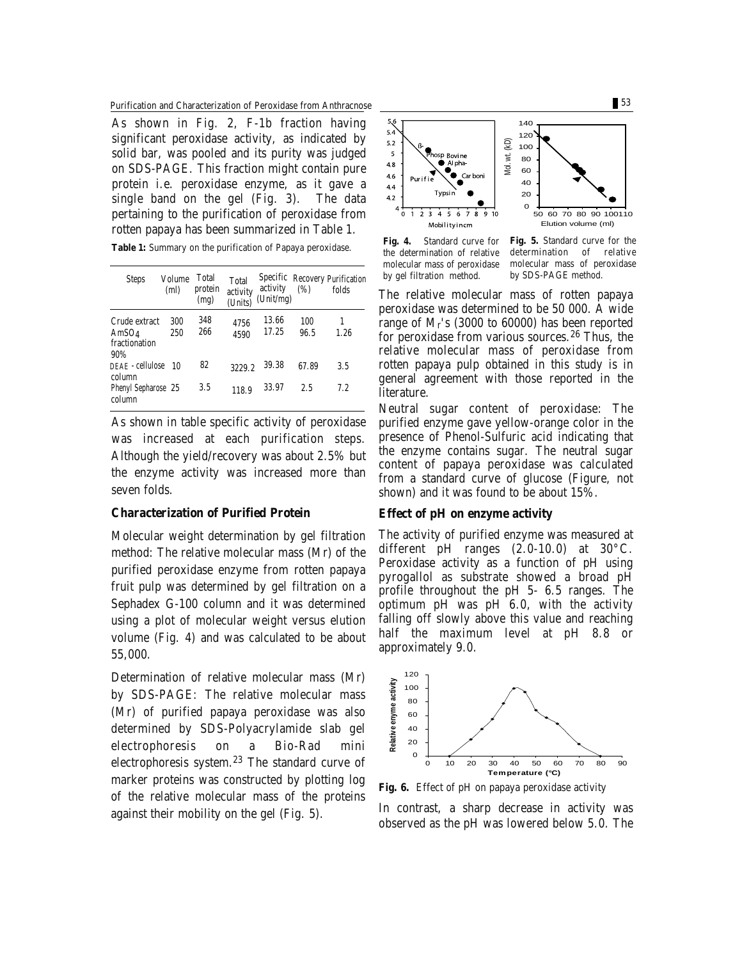Purification and Characterization of Peroxidase from Anthracnose 53

As shown in Fig. 2, F-1b fraction having significant peroxidase activity, as indicated by solid bar, was pooled and its purity was judged on SDS-PAGE. This fraction might contain pure protein i.e. peroxidase enzyme, as it gave a single band on the gel (Fig. 3). The data pertaining to the purification of peroxidase from rotten papaya has been summarized in Table 1.

| Table 1: Summary on the purification of Papaya peroxidase. |  |
|------------------------------------------------------------|--|
|------------------------------------------------------------|--|

| <b>Steps</b>                                       | Volume<br>(ml) | <b>Total</b><br>protein<br>(mg) | <b>Total</b><br>activity<br>(Units) | activity<br>(Unit/mg) | (%)         | <b>Specific Recovery Purification</b><br>folds |
|----------------------------------------------------|----------------|---------------------------------|-------------------------------------|-----------------------|-------------|------------------------------------------------|
| Crude extract<br>Am $SO_4$<br>fractionation<br>90% | 300<br>250     | 348<br>266                      | 4756<br>4590                        | 13.66<br>17.25        | 100<br>96.5 | 1<br>1.26                                      |
| DEAE - cellulose 10<br>column                      |                | 82                              | 3229.2                              | 39.38                 | 67.89       | 3.5                                            |
| <b>Phenyl Sepharose 25</b><br>column               |                | 3.5                             | 118.9                               | 33.97                 | 2.5         | 7.2                                            |

As shown in table specific activity of peroxidase was increased at each purification steps. Although the yield/recovery was about 2.5% but the enzyme activity was increased more than seven folds.

# **Characterization of Purified Protein**

Molecular weight determination by gel filtration method: The relative molecular mass (Mr) of the purified peroxidase enzyme from rotten papaya fruit pulp was determined by gel filtration on a Sephadex G-100 column and it was determined using a plot of molecular weight versus elution volume (Fig. 4) and was calculated to be about 55,000.

Determination of relative molecular mass (Mr) by SDS-PAGE: The relative molecular mass (Mr) of purified papaya peroxidase was also determined by SDS-Polyacrylamide slab gel electrophoresis on a Bio-Rad mini electrophoresis system.<sup>23</sup> The standard curve of marker proteins was constructed by plotting log of the relative molecular mass of the proteins against their mobility on the gel (Fig. 5).



**Fig. 4.** Standard curve for the determination of relative molecular mass of peroxidase by gel filtration method.

**Fig. 5.** Standard curve for the determination of relative molecular mass of peroxidase by SDS-PAGE method.

The relative molecular mass of rotten papaya peroxidase was determined to be 50 000. A wide range of Mr's (3000 to 60000) has been reported for peroxidase from various sources.<sup>26</sup> Thus, the relative molecular mass of peroxidase from rotten papaya pulp obtained in this study is in general agreement with those reported in the literature.

Neutral sugar content of peroxidase: The purified enzyme gave yellow-orange color in the presence of Phenol-Sulfuric acid indicating that the enzyme contains sugar. The neutral sugar content of papaya peroxidase was calculated from a standard curve of glucose (Figure, not shown) and it was found to be about 15%.

#### **Effect of pH on enzyme activity**

The activity of purified enzyme was measured at different pH ranges (2.0-10.0) at 30°C. Peroxidase activity as a function of pH using pyrogallol as substrate showed a broad pH profile throughout the pH 5- 6.5 ranges. The optimum pH was pH 6.0, with the activity falling off slowly above this value and reaching half the maximum level at pH 8.8 or approximately 9.0.



**Fig. 6.** Effect of pH on papaya peroxidase activity

In contrast, a sharp decrease in activity was observed as the pH was lowered below 5.0. The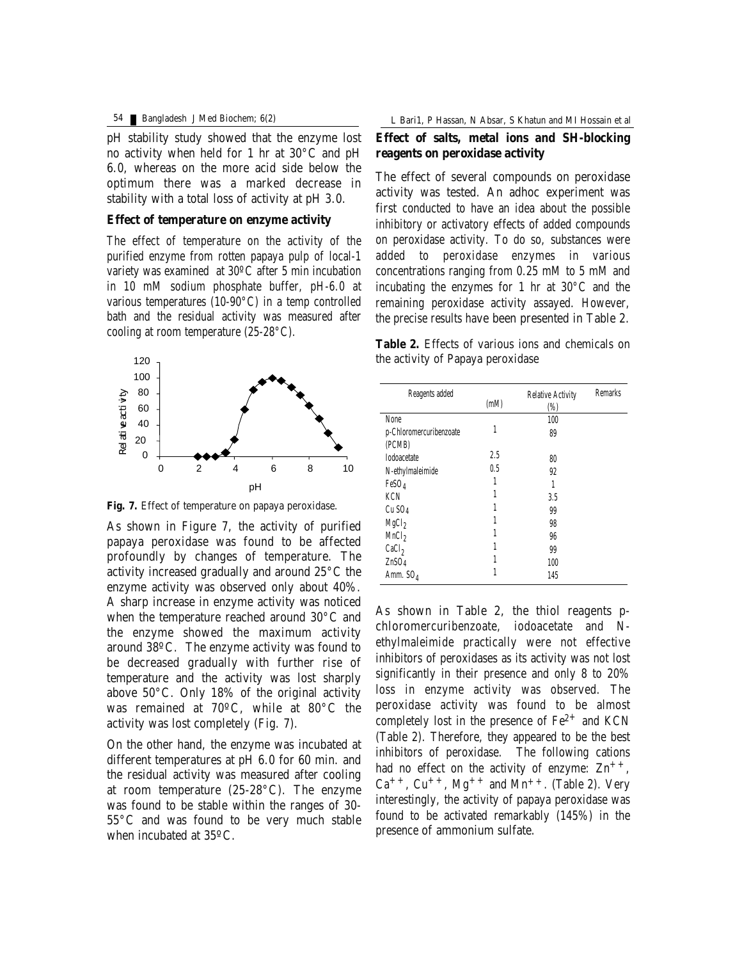pH stability study showed that the enzyme lost no activity when held for 1 hr at 30°C and pH 6.0, whereas on the more acid side below the optimum there was a marked decrease in stability with a total loss of activity at pH 3.0.

### **Effect of temperature on enzyme activity**

The effect of temperature on the activity of the purified enzyme from rotten papaya pulp of local-1 variety was examined at 30ºC after 5 min incubation in 10 mM sodium phosphate buffer, pH-6.0 at various temperatures (10-90°C) in a temp controlled bath and the residual activity was measured after cooling at room temperature (25-28°C).



**Fig. 7.** Effect of temperature on papaya peroxidase.

As shown in Figure 7, the activity of purified papaya peroxidase was found to be affected profoundly by changes of temperature. The activity increased gradually and around 25°C the enzyme activity was observed only about 40%. A sharp increase in enzyme activity was noticed when the temperature reached around 30°C and the enzyme showed the maximum activity around 38ºC. The enzyme activity was found to be decreased gradually with further rise of temperature and the activity was lost sharply above 50°C. Only 18% of the original activity was remained at 70ºC, while at 80°C the activity was lost completely (Fig. 7).

On the other hand, the enzyme was incubated at different temperatures at pH 6.0 for 60 min. and the residual activity was measured after cooling at room temperature (25-28°C). The enzyme was found to be stable within the ranges of 30- 55°C and was found to be very much stable when incubated at 35ºC.

# **Effect of salts, metal ions and SH-blocking reagents on peroxidase activity**

The effect of several compounds on peroxidase activity was tested. An adhoc experiment was first conducted to have an idea about the possible inhibitory or activatory effects of added compounds on peroxidase activity. To do so, substances were added to peroxidase enzymes in various concentrations ranging from 0.25 mM to 5 mM and incubating the enzymes for 1 hr at 30°C and the remaining peroxidase activity assayed. However, the precise results have been presented in Table 2.

**Table 2.** Effects of various ions and chemicals on the activity of Papaya peroxidase

| <b>Reagents added</b>             | (mM) | <b>Relative Activity</b><br>$\left(\%\right)$ | <b>Remarks</b> |
|-----------------------------------|------|-----------------------------------------------|----------------|
| None                              |      | 100                                           |                |
| p-Chloromercuribenzoate<br>(PCMB) | 1    | 89                                            |                |
| <b>Iodoacetate</b>                | 2.5  | 80                                            |                |
| N-ethylmaleimide                  | 0.5  | 92                                            |                |
| FeSO <sub>4</sub>                 | 1    | 1                                             |                |
| <b>KCN</b>                        | 1    | 3.5                                           |                |
| $Cu$ SO <sub>4</sub>              | 1    | 99                                            |                |
| MgCl <sub>2</sub>                 | 1    | 98                                            |                |
| MnCl <sub>2</sub>                 | 1    | 96                                            |                |
| CaCl <sub>2</sub>                 | 1    | 99                                            |                |
| ZnSO <sub>4</sub>                 | 1    | 100                                           |                |
| Amm. $SO_4$                       | 1    | 145                                           |                |

As shown in Table 2, the thiol reagents pchloromercuribenzoate, iodoacetate and Nethylmaleimide practically were not effective inhibitors of peroxidases as its activity was not lost significantly in their presence and only 8 to 20% loss in enzyme activity was observed. The peroxidase activity was found to be almost completely lost in the presence of  $Fe<sup>2+</sup>$  and KCN (Table 2). Therefore, they appeared to be the best inhibitors of peroxidase. The following cations had no effect on the activity of enzyme:  $Zn^{++}$ ,  $Ca^{++}$ ,  $Cu^{++}$ ,  $Mg^{++}$  and  $Mn^{++}$ . (Table 2). Very interestingly, the activity of papaya peroxidase was found to be activated remarkably (145%) in the presence of ammonium sulfate.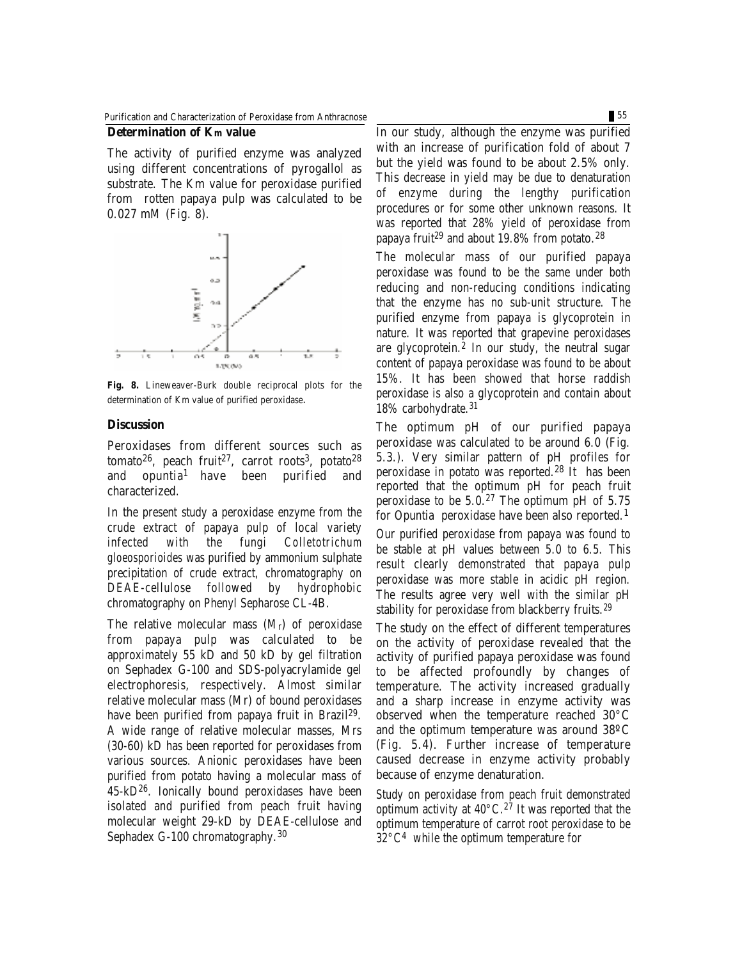The activity of purified enzyme was analyzed using different concentrations of pyrogallol as substrate. The Km value for peroxidase purified from rotten papaya pulp was calculated to be 0.027 mM (Fig. 8).



**Fig. 8.** Lineweaver-Burk double reciprocal plots for the determination of Km value of purified peroxidase.

#### **Discussion**

Peroxidases from different sources such as tomato<sup>26</sup>, peach fruit<sup>27</sup>, carrot roots<sup>3</sup>, potato<sup>28</sup> and opuntia<sup>1</sup> have been purified and characterized.

In the present study a peroxidase enzyme from the crude extract of papaya pulp of local variety infected with the fungi *Colletotrichum gloeosporioides* was purified by ammonium sulphate precipitation of crude extract, chromatography on DEAE-cellulose followed by hydrophobic chromatography on Phenyl Sepharose CL-4B.

The relative molecular mass (Mr) of peroxidase from papaya pulp was calculated to be approximately 55 kD and 50 kD by gel filtration on Sephadex G-100 and SDS-polyacrylamide gel electrophoresis, respectively. Almost similar relative molecular mass (Mr) of bound peroxidases have been purified from papaya fruit in Brazil 29. A wide range of relative molecular masses, Mrs (30-60) kD has been reported for peroxidases from various sources. Anionic peroxidases have been purified from potato having a molecular mass of 45-kD26. Ionically bound peroxidases have been isolated and purified from peach fruit having molecular weight 29-kD by DEAE-cellulose and Sephadex G-100 chromatography.30

In our study, although the enzyme was purified with an increase of purification fold of about 7 but the yield was found to be about 2.5% only. This decrease in yield may be due to denaturation of enzyme during the lengthy purification procedures or for some other unknown reasons. It was reported that 28% yield of peroxidase from papaya fruit <sup>29</sup> and about 19.8% from potato.<sup>28</sup>

The molecular mass of our purified papaya peroxidase was found to be the same under both reducing and non-reducing conditions indicating that the enzyme has no sub-unit structure. The purified enzyme from papaya is glycoprotein in nature. It was reported that grapevine peroxidases are glycoprotein. $^2$  In our study, the neutral sugar content of papaya peroxidase was found to be about 15%. It has been showed that horse raddish peroxidase is also a glycoprotein and contain about 18% carbohydrate.31

The optimum pH of our purified papaya peroxidase was calculated to be around 6.0 (Fig. 5.3.). Very similar pattern of pH profiles for peroxidase in potato was reported.<sup>28</sup> It has been reported that the optimum pH for peach fruit peroxidase to be  $5.0<sup>27</sup>$  The optimum pH of  $5.75$ for Opuntia peroxidase have been also reported.<sup>1</sup> Our purified peroxidase from papaya was found to be stable at pH values between 5.0 to 6.5. This result clearly demonstrated that papaya pulp peroxidase was more stable in acidic pH region. The results agree very well with the similar pH stability for peroxidase from blackberry fruits.<sup>29</sup>

The study on the effect of different temperatures on the activity of peroxidase revealed that the activity of purified papaya peroxidase was found to be affected profoundly by changes of temperature. The activity increased gradually and a sharp increase in enzyme activity was observed when the temperature reached 30°C and the optimum temperature was around 38ºC (Fig. 5.4). Further increase of temperature caused decrease in enzyme activity probably because of enzyme denaturation.

Study on peroxidase from peach fruit demonstrated optimum activity at  $40^{\circ}$ C.<sup>27</sup> It was reported that the optimum temperature of carrot root peroxidase to be 32°C<sup>4</sup> while the optimum temperature for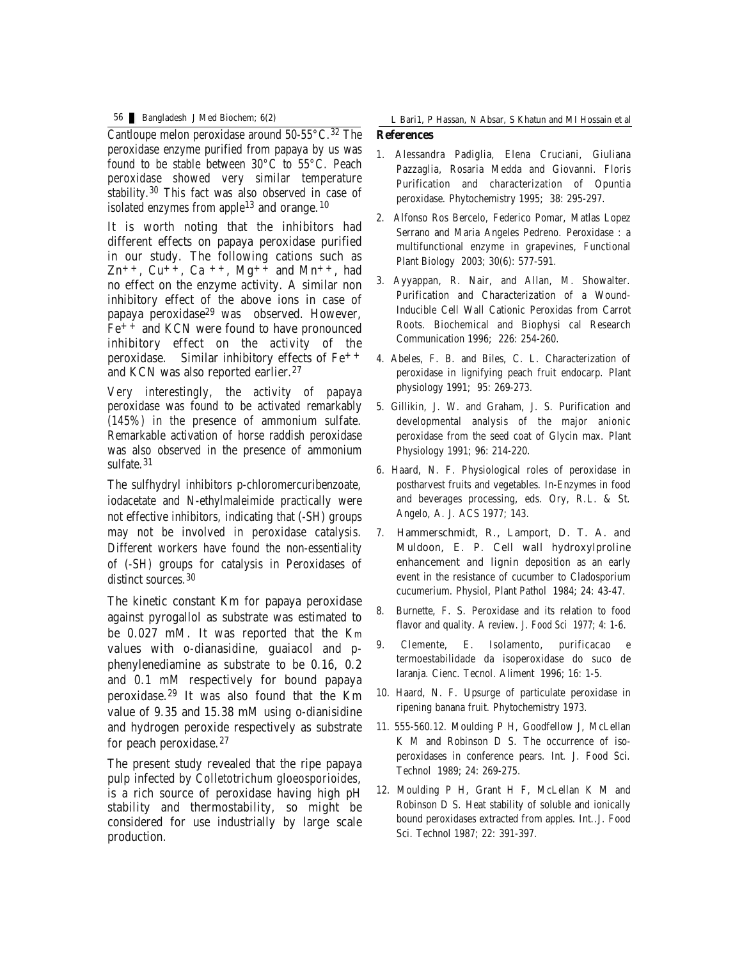Cantloupe melon peroxidase around  $50-55\degree C$ .<sup>32</sup> The peroxidase enzyme purified from papaya by us was found to be stable between 30°C to 55°C. Peach peroxidase showed very similar temperature stability.<sup>30</sup> This fact was also observed in case of isolated enzymes from apple<sup>13</sup> and orange.<sup>10</sup>

It is worth noting that the inhibitors had different effects on papaya peroxidase purified in our study. The following cations such as  $Zn^{++}$ ,  $Cu^{++}$ ,  $Ca^{++}$ ,  $Mg^{++}$  and  $Mn^{++}$ , had no effect on the enzyme activity. A similar non inhibitory effect of the above ions in case of papaya peroxidase<sup>29</sup> was observed. However,  $Fe<sup>++</sup>$  and KCN were found to have pronounced inhibitory effect on the activity of the peroxidase. Similar inhibitory effects of Fe++ and KCN was also reported earlier.<sup>27</sup>

Very interestingly, the activity of papaya peroxidase was found to be activated remarkably (145%) in the presence of ammonium sulfate. Remarkable activation of horse raddish peroxidase was also observed in the presence of ammonium sulfate.<sup>31</sup>

The sulfhydryl inhibitors p-chloromercuribenzoate, iodacetate and N-ethylmaleimide practically were not effective inhibitors, indicating that (-SH) groups may not be involved in peroxidase catalysis. Different workers have found the non-essentiality of (-SH) groups for catalysis in Peroxidases of distinct sources.<sup>30</sup>

The kinetic constant Km for papaya peroxidase against pyrogallol as substrate was estimated to be 0.027 mM. It was reported that the Km values with o-dianasidine, guaiacol and pphenylenediamine as substrate to be 0.16, 0.2 and 0.1 mM respectively for bound papaya peroxidase.29 It was also found that the Km value of 9.35 and 15.38 mM using o-dianisidine and hydrogen peroxide respectively as substrate for peach peroxidase.<sup>27</sup>

The present study revealed that the ripe papaya pulp infected by *Colletotrichum gloeosporioides*, is a rich source of peroxidase having high pH stability and thermostability, so might be considered for use industrially by large scale production.

**References** 56 Bangladesh J Med Biochem; 6(2) L Bari1, P Hassan, N Absar, S Khatun and MI Hossain et al

- 1. Alessandra Padiglia, Elena Cruciani, Giuliana Pazzaglia, Rosaria Medda and Giovanni. Floris Purification and characterization of Opuntia peroxidase. Phytochemistry 1995; 38: 295-297.
- 2. Alfonso Ros Bercelo, Federico Pomar, Matlas Lopez Serrano and Maria Angeles Pedreno. Peroxidase : a multifunctional enzyme in grapevines, Functional Plant Biology 2003; 30(6): 577-591.
- 3. Ayyappan, R. Nair, and Allan, M. Showalter. Purification and Characterization of a Wound-Inducible Cell Wall Cationic Peroxidas from Carrot Roots. Biochemical and Biophysi cal Research Communication 1996; 226: 254-260.
- 4. Abeles, F. B. and Biles, C. L. Characterization of peroxidase in lignifying peach fruit endocarp. Plant physiology 1991; 95: 269-273.
- 5. Gillikin, J. W. and Graham, J. S. Purification and developmental analysis of the major anionic peroxidase from the seed coat of Glycin max. Plant Physiology 1991; 96: 214-220.
- 6. Haard, N. F. Physiological roles of peroxidase in postharvest fruits and vegetables. In-Enzymes in food and beverages processing, eds. Ory, R.L. & St. Angelo, A. J. ACS 1977; 143.
- 7. Hammerschmidt, R., Lamport, D. T. A. and Muldoon, E. P. Cell wall hydroxylproline enhancement and lignin deposition as an early event in the resistance of cucumber to Cladosporium cucumerium. Physiol, Plant Pathol 1984; 24: 43-47.
- 8. Burnette, F. S. Peroxidase and its relation to food flavor and quality. A review. J. Food Sci 1977; 4: 1-6.
- 9. Clemente, E. Isolamento, purificacao e termoestabilidade da isoperoxidase do suco de laranja. Cienc. Tecnol. Aliment 1996; 16: 1-5.
- 10. Haard, N. F. Upsurge of particulate peroxidase in ripening banana fruit. Phytochemistry 1973.
- 11. 555-560.12. Moulding P H, Goodfellow J, McLellan K M and Robinson D S. The occurrence of isoperoxidases in conference pears. Int. J. Food Sci. Technol 1989; 24: 269-275.
- 12. Moulding P H, Grant H F, McLellan K M and Robinson D S. Heat stability of soluble and ionically bound peroxidases extracted from apples. Int..J. Food Sci. Technol 1987; 22: 391-397.